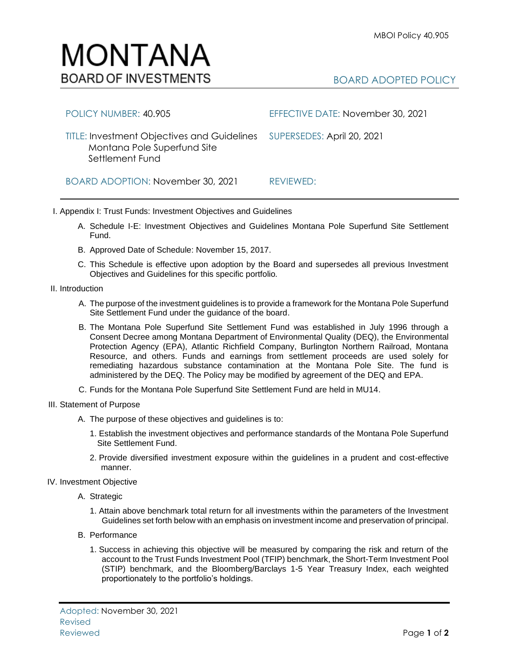

| POLICY NUMBER: 40.905                                                                                                    | EFFECTIVE DATE: November 30, 2021 |
|--------------------------------------------------------------------------------------------------------------------------|-----------------------------------|
| TITLE: Investment Objectives and Guidelines SUPERSEDES: April 20, 2021<br>Montana Pole Superfund Site<br>Settlement Fund |                                   |
| BOARD ADOPTION: November 30, 2021                                                                                        | REVIEWED:                         |

I. Appendix I: Trust Funds: Investment Objectives and Guidelines

- A. Schedule I-E: Investment Objectives and Guidelines Montana Pole Superfund Site Settlement Fund.
- B. Approved Date of Schedule: November 15, 2017.
- C. This Schedule is effective upon adoption by the Board and supersedes all previous Investment Objectives and Guidelines for this specific portfolio*.*
- II. Introduction
	- A. The purpose of the investment guidelines is to provide a framework for the Montana Pole Superfund Site Settlement Fund under the guidance of the board.
	- B. The Montana Pole Superfund Site Settlement Fund was established in July 1996 through a Consent Decree among Montana Department of Environmental Quality (DEQ), the Environmental Protection Agency (EPA), Atlantic Richfield Company, Burlington Northern Railroad, Montana Resource, and others. Funds and earnings from settlement proceeds are used solely for remediating hazardous substance contamination at the Montana Pole Site. The fund is administered by the DEQ. The Policy may be modified by agreement of the DEQ and EPA.
	- C. Funds for the Montana Pole Superfund Site Settlement Fund are held in MU14.
- III. Statement of Purpose
	- A. The purpose of these objectives and guidelines is to:
		- 1. Establish the investment objectives and performance standards of the Montana Pole Superfund Site Settlement Fund.
		- 2. Provide diversified investment exposure within the guidelines in a prudent and cost-effective manner.
- IV. Investment Objective
	- A. Strategic
		- 1. Attain above benchmark total return for all investments within the parameters of the Investment Guidelines set forth below with an emphasis on investment income and preservation of principal.
	- B. Performance
		- 1. Success in achieving this objective will be measured by comparing the risk and return of the account to the Trust Funds Investment Pool (TFIP) benchmark, the Short-Term Investment Pool (STIP) benchmark, and the Bloomberg/Barclays 1-5 Year Treasury Index, each weighted proportionately to the portfolio's holdings.